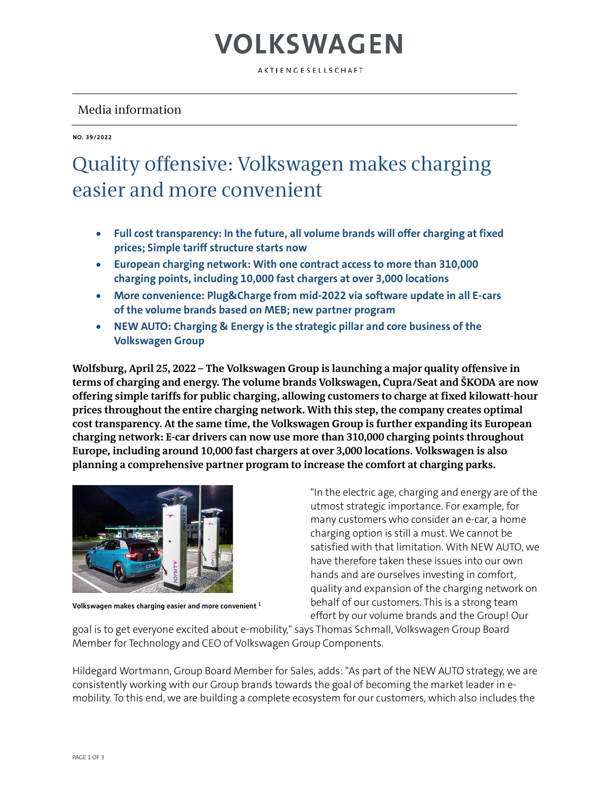# VOLKSWAGEN

AKTIENGESELLSCHAFT

### Media information

**NO. 39/2022**

### Quality offensive: Volkswagen makes charging easier and more convenient

- **Full cost transparency: In the future, all volume brands will offer charging at fixed prices; Simple tariff structure starts now**
- **European charging network: With one contract access to more than 310,000 charging points, including 10,000 fast chargers at over 3,000 locations**
- **More convenience: Plug&Charge from mid-2022 via software update in all E-cars of the volume brands based on MEB; new partner program**
- **NEW AUTO: Charging & Energy is the strategic pillar and core business of the Volkswagen Group**

**Wolfsburg, April 25, 2022 – The Volkswagen Group is launching a major quality offensive in terms of charging and energy. The volume brands Volkswagen, Cupra/Seat and ŠKODA are now offering simple tariffs for public charging, allowing customers to charge at fixed kilowatt-hour prices throughout the entire charging network. With this step, the company creates optimal cost transparency. At the same time, the Volkswagen Group is further expanding its European charging network: E-car drivers can now use more than 310,000 charging points throughout Europe, including around 10,000 fast chargers at over 3,000 locations. Volkswagen is also planning a comprehensive partner program to increase the comfort at charging parks.**



**Volkswagen makes charging easier and more convenient <sup>1</sup>**

"In the electric age, charging and energy are of the utmost strategic importance. For example, for many customers who consider an e-car, a home charging option is still a must. We cannot be satisfied with that limitation. With NEW AUTO, we have therefore taken these issues into our own hands and are ourselves investing in comfort, quality and expansion of the charging network on behalf of our customers. This is a strong team effort by our volume brands and the Group! Our

goal is to get everyone excited about e-mobility," says Thomas Schmall, Volkswagen Group Board Member for Technology and CEO of Volkswagen Group Components.

Hildegard Wortmann, Group Board Member for Sales, adds: "As part of the NEW AUTO strategy, we are consistently working with our Group brands towards the goal of becoming the market leader in emobility. To this end, we are building a complete ecosystem for our customers, which also includes the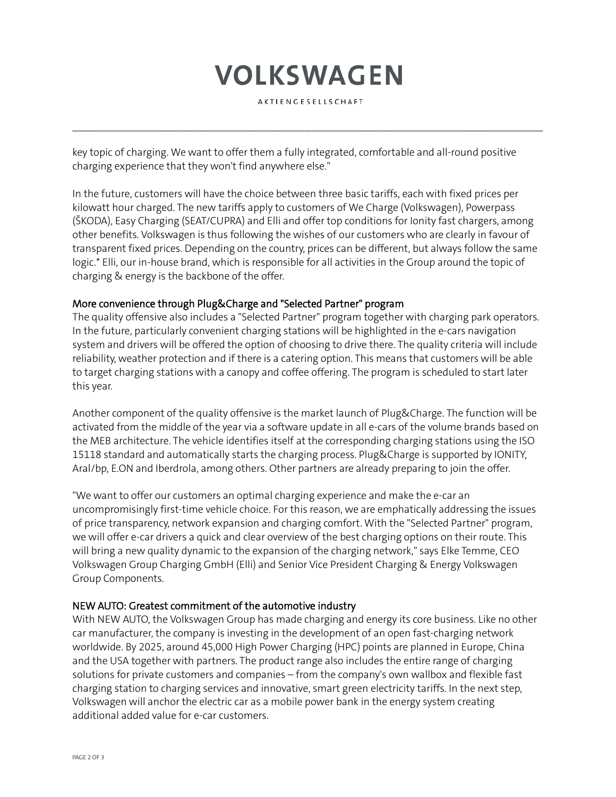## **VOLKSWAGEN**

AKTIENGESELLSCHAFT

 $\mathcal{L}_\mathcal{L} = \{ \mathcal{L}_\mathcal{L} = \{ \mathcal{L}_\mathcal{L} = \{ \mathcal{L}_\mathcal{L} = \{ \mathcal{L}_\mathcal{L} = \{ \mathcal{L}_\mathcal{L} = \{ \mathcal{L}_\mathcal{L} = \{ \mathcal{L}_\mathcal{L} = \{ \mathcal{L}_\mathcal{L} = \{ \mathcal{L}_\mathcal{L} = \{ \mathcal{L}_\mathcal{L} = \{ \mathcal{L}_\mathcal{L} = \{ \mathcal{L}_\mathcal{L} = \{ \mathcal{L}_\mathcal{L} = \{ \mathcal{L}_\mathcal{$ 

key topic of charging. We want to offer them a fully integrated, comfortable and all-round positive charging experience that they won't find anywhere else."

In the future, customers will have the choice between three basic tariffs, each with fixed prices per kilowatt hour charged. The new tariffs apply to customers of We Charge (Volkswagen), Powerpass (ŠKODA), Easy Charging (SEAT/CUPRA) and Elli and offer top conditions for Ionity fast chargers, among other benefits. Volkswagen is thus following the wishes of our customers who are clearly in favour of transparent fixed prices. Depending on the country, prices can be different, but always follow the same logic.\* Elli, our in-house brand, which is responsible for all activities in the Group around the topic of charging & energy is the backbone of the offer.

#### More convenience through Plug&Charge and "Selected Partner" program

The quality offensive also includes a "Selected Partner" program together with charging park operators. In the future, particularly convenient charging stations will be highlighted in the e-cars navigation system and drivers will be offered the option of choosing to drive there. The quality criteria will include reliability, weather protection and if there is a catering option. This means that customers will be able to target charging stations with a canopy and coffee offering. The program is scheduled to start later this year.

Another component of the quality offensive is the market launch of Plug&Charge. The function will be activated from the middle of the year via a software update in all e-cars of the volume brands based on the MEB architecture. The vehicle identifies itself at the corresponding charging stations using the ISO 15118 standard and automatically starts the charging process. Plug&Charge is supported by IONITY, Aral/bp, E.ON and Iberdrola, among others. Other partners are already preparing to join the offer.

"We want to offer our customers an optimal charging experience and make the e-car an uncompromisingly first-time vehicle choice. For this reason, we are emphatically addressing the issues of price transparency, network expansion and charging comfort. With the "Selected Partner" program, we will offer e-car drivers a quick and clear overview of the best charging options on their route. This will bring a new quality dynamic to the expansion of the charging network," says Elke Temme, CEO Volkswagen Group Charging GmbH (Elli) and Senior Vice President Charging & Energy Volkswagen Group Components.

#### NEW AUTO: Greatest commitment of the automotive industry

With NEW AUTO, the Volkswagen Group has made charging and energy its core business. Like no other car manufacturer, the company is investing in the development of an open fast-charging network worldwide. By 2025, around 45,000 High Power Charging (HPC) points are planned in Europe, China and the USA together with partners. The product range also includes the entire range of charging solutions for private customers and companies – from the company's own wallbox and flexible fast charging station to charging services and innovative, smart green electricity tariffs. In the next step, Volkswagen will anchor the electric car as a mobile power bank in the energy system creating additional added value for e-car customers.